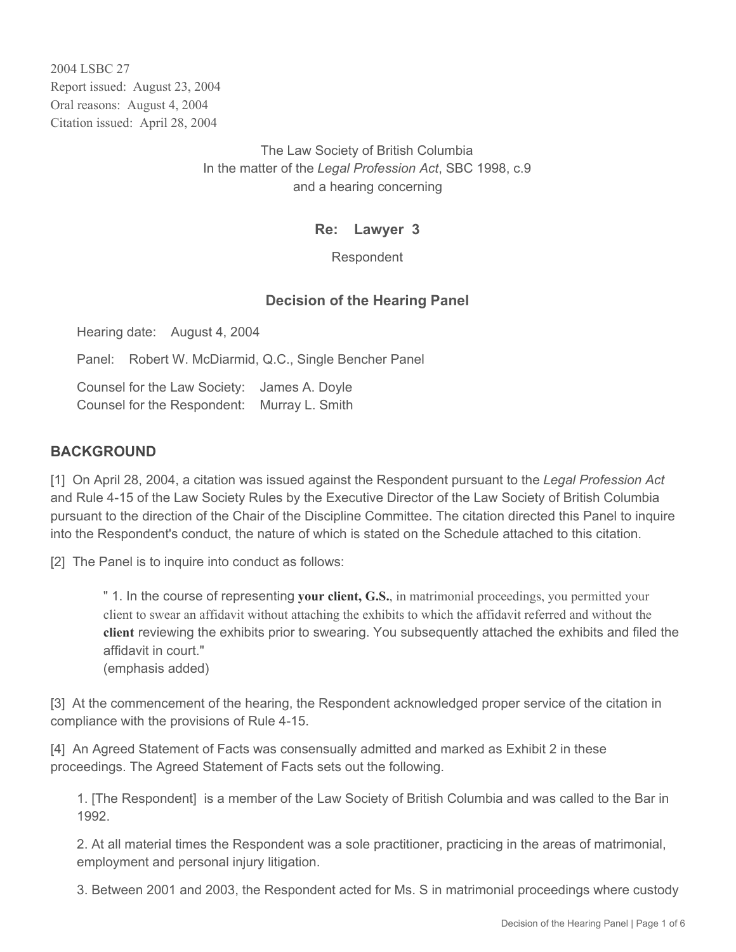2004 LSBC 27 Report issued: August 23, 2004 Oral reasons: August 4, 2004 Citation issued: April 28, 2004

> The Law Society of British Columbia In the matter of the *Legal Profession Act*, SBC 1998, c.9 and a hearing concerning

## **Re: Lawyer 3**

Respondent

## **Decision of the Hearing Panel**

Hearing date: August 4, 2004

Panel: Robert W. McDiarmid, Q.C., Single Bencher Panel

Counsel for the Law Society: James A. Doyle Counsel for the Respondent: Murray L. Smith

## **BACKGROUND**

[1] On April 28, 2004, a citation was issued against the Respondent pursuant to the *Legal Profession Act* and Rule 4-15 of the Law Society Rules by the Executive Director of the Law Society of British Columbia pursuant to the direction of the Chair of the Discipline Committee. The citation directed this Panel to inquire into the Respondent's conduct, the nature of which is stated on the Schedule attached to this citation.

[2] The Panel is to inquire into conduct as follows:

" 1. In the course of representing **your client, G.S.**, in matrimonial proceedings, you permitted your client to swear an affidavit without attaching the exhibits to which the affidavit referred and without the **client** reviewing the exhibits prior to swearing. You subsequently attached the exhibits and filed the affidavit in court." (emphasis added)

[3] At the commencement of the hearing, the Respondent acknowledged proper service of the citation in compliance with the provisions of Rule 4-15.

[4] An Agreed Statement of Facts was consensually admitted and marked as Exhibit 2 in these proceedings. The Agreed Statement of Facts sets out the following.

1. [The Respondent] is a member of the Law Society of British Columbia and was called to the Bar in 1992.

2. At all material times the Respondent was a sole practitioner, practicing in the areas of matrimonial, employment and personal injury litigation.

3. Between 2001 and 2003, the Respondent acted for Ms. S in matrimonial proceedings where custody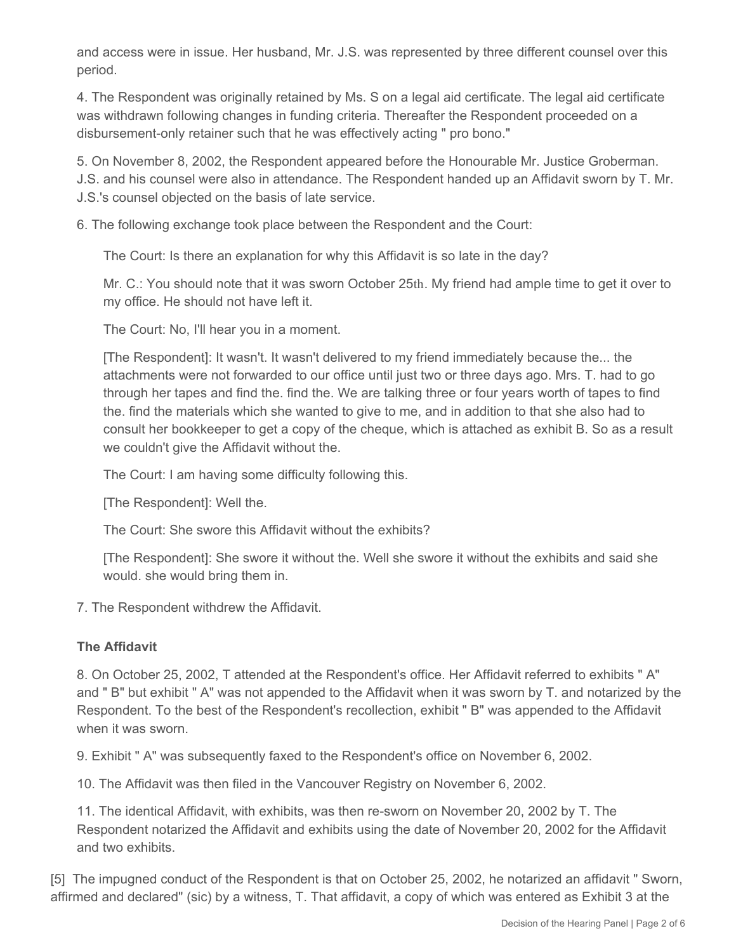and access were in issue. Her husband, Mr. J.S. was represented by three different counsel over this period.

4. The Respondent was originally retained by Ms. S on a legal aid certificate. The legal aid certificate was withdrawn following changes in funding criteria. Thereafter the Respondent proceeded on a disbursement-only retainer such that he was effectively acting " pro bono."

5. On November 8, 2002, the Respondent appeared before the Honourable Mr. Justice Groberman. J.S. and his counsel were also in attendance. The Respondent handed up an Affidavit sworn by T. Mr. J.S.'s counsel objected on the basis of late service.

6. The following exchange took place between the Respondent and the Court:

The Court: Is there an explanation for why this Affidavit is so late in the day?

Mr. C.: You should note that it was sworn October 25th. My friend had ample time to get it over to my office. He should not have left it.

The Court: No, I'll hear you in a moment.

[The Respondent]: It wasn't. It wasn't delivered to my friend immediately because the... the attachments were not forwarded to our office until just two or three days ago. Mrs. T. had to go through her tapes and find the. find the. We are talking three or four years worth of tapes to find the. find the materials which she wanted to give to me, and in addition to that she also had to consult her bookkeeper to get a copy of the cheque, which is attached as exhibit B. So as a result we couldn't give the Affidavit without the.

The Court: I am having some difficulty following this.

[The Respondent]: Well the.

The Court: She swore this Affidavit without the exhibits?

[The Respondent]: She swore it without the. Well she swore it without the exhibits and said she would. she would bring them in.

7. The Respondent withdrew the Affidavit.

## **The Affidavit**

8. On October 25, 2002, T attended at the Respondent's office. Her Affidavit referred to exhibits " A" and " B" but exhibit " A" was not appended to the Affidavit when it was sworn by T. and notarized by the Respondent. To the best of the Respondent's recollection, exhibit " B" was appended to the Affidavit when it was sworn.

9. Exhibit " A" was subsequently faxed to the Respondent's office on November 6, 2002.

10. The Affidavit was then filed in the Vancouver Registry on November 6, 2002.

11. The identical Affidavit, with exhibits, was then re-sworn on November 20, 2002 by T. The Respondent notarized the Affidavit and exhibits using the date of November 20, 2002 for the Affidavit and two exhibits.

[5] The impugned conduct of the Respondent is that on October 25, 2002, he notarized an affidavit " Sworn, affirmed and declared" (sic) by a witness, T. That affidavit, a copy of which was entered as Exhibit 3 at the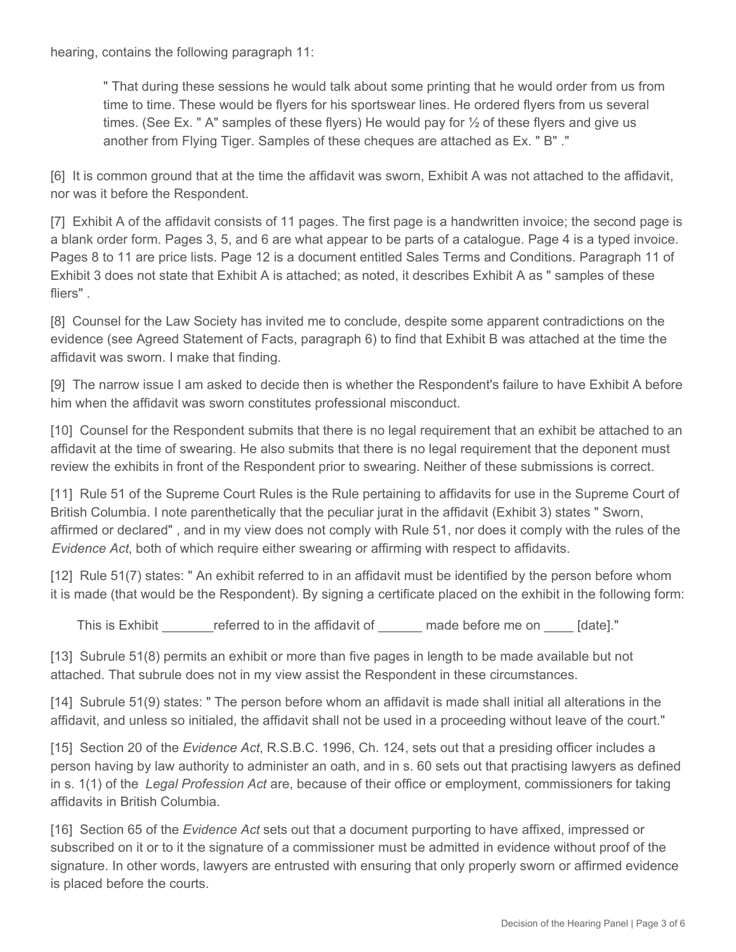hearing, contains the following paragraph 11:

" That during these sessions he would talk about some printing that he would order from us from time to time. These would be flyers for his sportswear lines. He ordered flyers from us several times. (See Ex. " A" samples of these flyers) He would pay for  $\frac{1}{2}$  of these flyers and give us another from Flying Tiger. Samples of these cheques are attached as Ex. " B" ."

[6] It is common ground that at the time the affidavit was sworn, Exhibit A was not attached to the affidavit, nor was it before the Respondent.

[7] Exhibit A of the affidavit consists of 11 pages. The first page is a handwritten invoice; the second page is a blank order form. Pages 3, 5, and 6 are what appear to be parts of a catalogue. Page 4 is a typed invoice. Pages 8 to 11 are price lists. Page 12 is a document entitled Sales Terms and Conditions. Paragraph 11 of Exhibit 3 does not state that Exhibit A is attached; as noted, it describes Exhibit A as " samples of these fliers" .

[8] Counsel for the Law Society has invited me to conclude, despite some apparent contradictions on the evidence (see Agreed Statement of Facts, paragraph 6) to find that Exhibit B was attached at the time the affidavit was sworn. I make that finding.

[9] The narrow issue I am asked to decide then is whether the Respondent's failure to have Exhibit A before him when the affidavit was sworn constitutes professional misconduct.

[10] Counsel for the Respondent submits that there is no legal requirement that an exhibit be attached to an affidavit at the time of swearing. He also submits that there is no legal requirement that the deponent must review the exhibits in front of the Respondent prior to swearing. Neither of these submissions is correct.

[11] Rule 51 of the Supreme Court Rules is the Rule pertaining to affidavits for use in the Supreme Court of British Columbia. I note parenthetically that the peculiar jurat in the affidavit (Exhibit 3) states " Sworn, affirmed or declared" , and in my view does not comply with Rule 51, nor does it comply with the rules of the *Evidence Act*, both of which require either swearing or affirming with respect to affidavits.

[12] Rule 51(7) states: " An exhibit referred to in an affidavit must be identified by the person before whom it is made (that would be the Respondent). By signing a certificate placed on the exhibit in the following form:

This is Exhibit \_\_\_\_\_\_\_\_\_referred to in the affidavit of \_\_\_\_\_\_\_ made before me on \_\_\_\_\_ [date]."

[13] Subrule 51(8) permits an exhibit or more than five pages in length to be made available but not attached. That subrule does not in my view assist the Respondent in these circumstances.

[14] Subrule 51(9) states: " The person before whom an affidavit is made shall initial all alterations in the affidavit, and unless so initialed, the affidavit shall not be used in a proceeding without leave of the court."

[15] Section 20 of the *Evidence Act*, R.S.B.C. 1996, Ch. 124, sets out that a presiding officer includes a person having by law authority to administer an oath, and in s. 60 sets out that practising lawyers as defined in s. 1(1) of the *Legal Profession Act* are, because of their office or employment, commissioners for taking affidavits in British Columbia.

[16] Section 65 of the *Evidence Act* sets out that a document purporting to have affixed, impressed or subscribed on it or to it the signature of a commissioner must be admitted in evidence without proof of the signature. In other words, lawyers are entrusted with ensuring that only properly sworn or affirmed evidence is placed before the courts.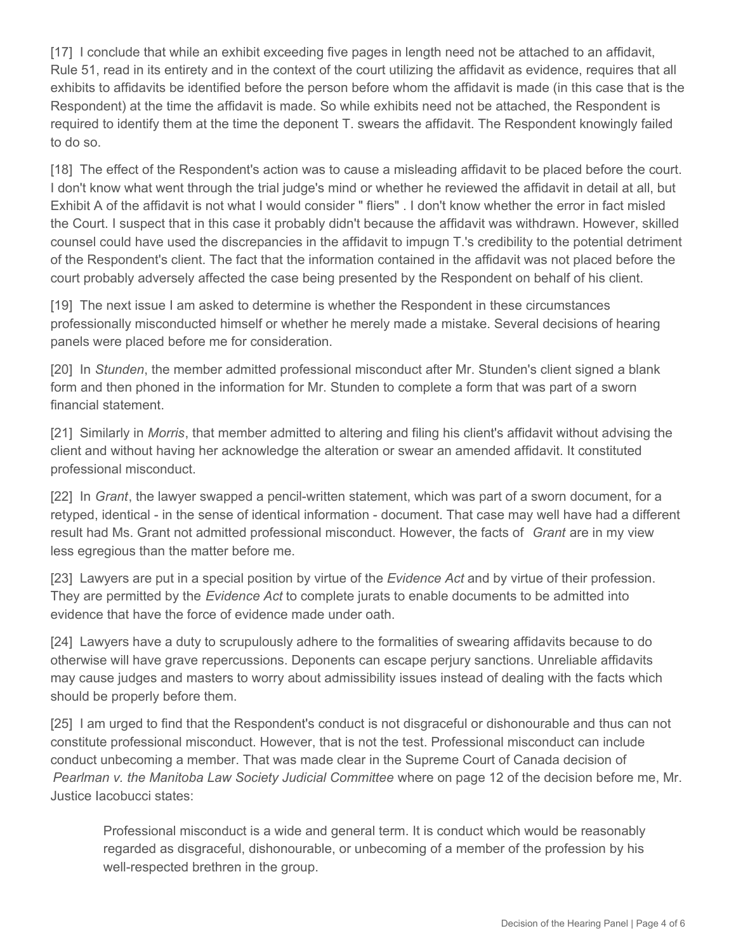[17] I conclude that while an exhibit exceeding five pages in length need not be attached to an affidavit, Rule 51, read in its entirety and in the context of the court utilizing the affidavit as evidence, requires that all exhibits to affidavits be identified before the person before whom the affidavit is made (in this case that is the Respondent) at the time the affidavit is made. So while exhibits need not be attached, the Respondent is required to identify them at the time the deponent T. swears the affidavit. The Respondent knowingly failed to do so.

[18] The effect of the Respondent's action was to cause a misleading affidavit to be placed before the court. I don't know what went through the trial judge's mind or whether he reviewed the affidavit in detail at all, but Exhibit A of the affidavit is not what I would consider " fliers" . I don't know whether the error in fact misled the Court. I suspect that in this case it probably didn't because the affidavit was withdrawn. However, skilled counsel could have used the discrepancies in the affidavit to impugn T.'s credibility to the potential detriment of the Respondent's client. The fact that the information contained in the affidavit was not placed before the court probably adversely affected the case being presented by the Respondent on behalf of his client.

[19] The next issue I am asked to determine is whether the Respondent in these circumstances professionally misconducted himself or whether he merely made a mistake. Several decisions of hearing panels were placed before me for consideration.

[20] In *Stunden*, the member admitted professional misconduct after Mr. Stunden's client signed a blank form and then phoned in the information for Mr. Stunden to complete a form that was part of a sworn financial statement.

[21] Similarly in *Morris*, that member admitted to altering and filing his client's affidavit without advising the client and without having her acknowledge the alteration or swear an amended affidavit. It constituted professional misconduct.

[22] In *Grant*, the lawyer swapped a pencil-written statement, which was part of a sworn document, for a retyped, identical - in the sense of identical information - document. That case may well have had a different result had Ms. Grant not admitted professional misconduct. However, the facts of *Grant* are in my view less egregious than the matter before me.

[23] Lawyers are put in a special position by virtue of the *Evidence Act* and by virtue of their profession. They are permitted by the *Evidence Act* to complete jurats to enable documents to be admitted into evidence that have the force of evidence made under oath.

[24] Lawyers have a duty to scrupulously adhere to the formalities of swearing affidavits because to do otherwise will have grave repercussions. Deponents can escape perjury sanctions. Unreliable affidavits may cause judges and masters to worry about admissibility issues instead of dealing with the facts which should be properly before them.

[25] I am urged to find that the Respondent's conduct is not disgraceful or dishonourable and thus can not constitute professional misconduct. However, that is not the test. Professional misconduct can include conduct unbecoming a member. That was made clear in the Supreme Court of Canada decision of *Pearlman v. the Manitoba Law Society Judicial Committee* where on page 12 of the decision before me, Mr. Justice Iacobucci states:

Professional misconduct is a wide and general term. It is conduct which would be reasonably regarded as disgraceful, dishonourable, or unbecoming of a member of the profession by his well-respected brethren in the group.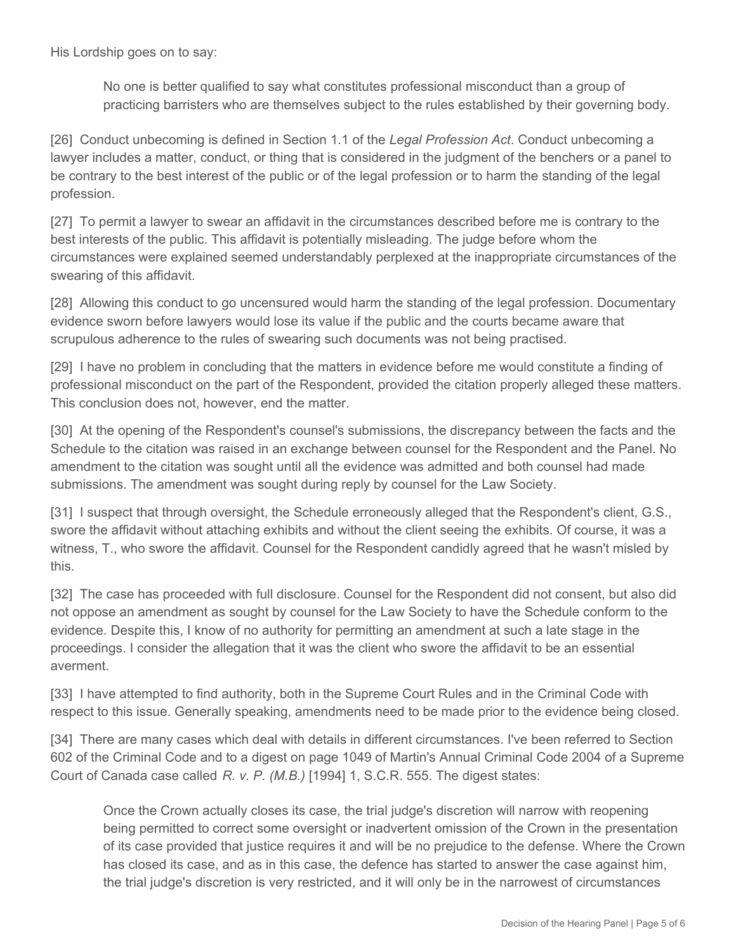His Lordship goes on to say:

No one is better qualified to say what constitutes professional misconduct than a group of practicing barristers who are themselves subject to the rules established by their governing body.

[26] Conduct unbecoming is defined in Section 1.1 of the *Legal Profession Act*. Conduct unbecoming a lawyer includes a matter, conduct, or thing that is considered in the judgment of the benchers or a panel to be contrary to the best interest of the public or of the legal profession or to harm the standing of the legal profession.

[27] To permit a lawyer to swear an affidavit in the circumstances described before me is contrary to the best interests of the public. This affidavit is potentially misleading. The judge before whom the circumstances were explained seemed understandably perplexed at the inappropriate circumstances of the swearing of this affidavit.

[28] Allowing this conduct to go uncensured would harm the standing of the legal profession. Documentary evidence sworn before lawyers would lose its value if the public and the courts became aware that scrupulous adherence to the rules of swearing such documents was not being practised.

[29] I have no problem in concluding that the matters in evidence before me would constitute a finding of professional misconduct on the part of the Respondent, provided the citation properly alleged these matters. This conclusion does not, however, end the matter.

[30] At the opening of the Respondent's counsel's submissions, the discrepancy between the facts and the Schedule to the citation was raised in an exchange between counsel for the Respondent and the Panel. No amendment to the citation was sought until all the evidence was admitted and both counsel had made submissions. The amendment was sought during reply by counsel for the Law Society.

[31] I suspect that through oversight, the Schedule erroneously alleged that the Respondent's client, G.S., swore the affidavit without attaching exhibits and without the client seeing the exhibits. Of course, it was a witness, T., who swore the affidavit. Counsel for the Respondent candidly agreed that he wasn't misled by this.

[32] The case has proceeded with full disclosure. Counsel for the Respondent did not consent, but also did not oppose an amendment as sought by counsel for the Law Society to have the Schedule conform to the evidence. Despite this, I know of no authority for permitting an amendment at such a late stage in the proceedings. I consider the allegation that it was the client who swore the affidavit to be an essential averment.

[33] I have attempted to find authority, both in the Supreme Court Rules and in the Criminal Code with respect to this issue. Generally speaking, amendments need to be made prior to the evidence being closed.

[34] There are many cases which deal with details in different circumstances. I've been referred to Section 602 of the Criminal Code and to a digest on page 1049 of Martin's Annual Criminal Code 2004 of a Supreme Court of Canada case called *R. v. P. (M.B.)* [1994] 1, S.C.R. 555. The digest states:

Once the Crown actually closes its case, the trial judge's discretion will narrow with reopening being permitted to correct some oversight or inadvertent omission of the Crown in the presentation of its case provided that justice requires it and will be no prejudice to the defense. Where the Crown has closed its case, and as in this case, the defence has started to answer the case against him, the trial judge's discretion is very restricted, and it will only be in the narrowest of circumstances